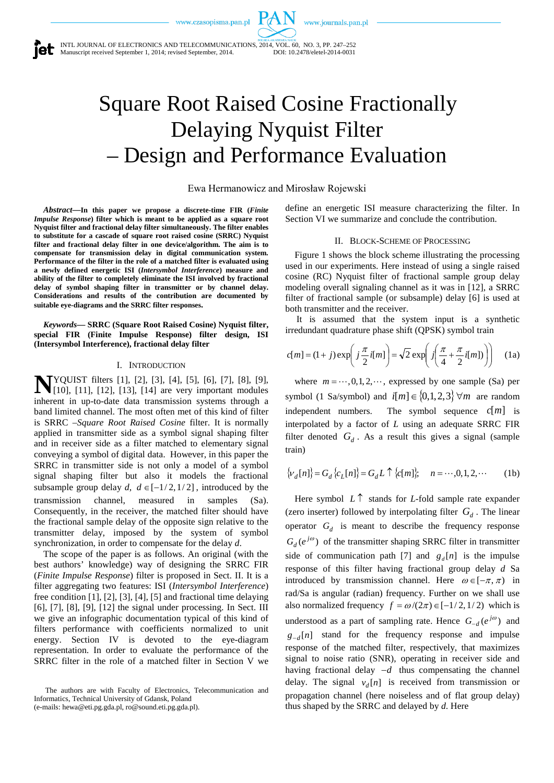www.journals.pan.pl

INTL JOURNAL OF ELECTRONICS AND TELECOMMUNICATIONS, 2014, VOL. 60, NO. 3, PP. 247–252 Manuscript received September 1, 2014; revised September, 2014. DOI: 10.2478/eletel-2014-0031

# Square Root Raised Cosine Fractionally Delaying Nyquist Filter – Design and Performance Evaluation

Ewa Hermanowicz and Mirosław Rojewski

*Abstract***—In this paper we propose a discrete-time FIR (***Finite Impulse Response***) filter which is meant to be applied as a square root Nyquist filter and fractional delay filter simultaneously. The filter enables to substitute for a cascade of square root raised cosine (SRRC) Nyquist filter and fractional delay filter in one device/algorithm. The aim is to compensate for transmission delay in digital communication system. Performance of the filter in the role of a matched filter is evaluated using a newly defined energetic ISI (***Intersymbol Interference***) measure and ability of the filter to completely eliminate the ISI involved by fractional delay of symbol shaping filter in transmitter or by channel delay. Considerations and results of the contribution are documented by suitable eye-diagrams and the SRRC filter responses.**

*Keywords***— SRRC (Square Root Raised Cosine) Nyquist filter, special FIR (Finite Impulse Response) filter design, ISI (Intersymbol Interference), fractional delay filter**

#### I. INTRODUCTION

YQUIST filters [1], [2], [3], [4], [5], [6], [7], [8], [9], **N**YQUIST filters [1], [2], [3], [4], [5], [6], [7], [8], [9], [10], [11], [12], [13], [14] are very important modules inherent in up-to-date data transmission systems through a band limited channel. The most often met of this kind of filter is SRRC –*Square Root Raised Cosine* filter. It is normally applied in transmitter side as a symbol signal shaping filter and in receiver side as a filter matched to elementary signal conveying a symbol of digital data. However, in this paper the SRRC in transmitter side is not only a model of a symbol signal shaping filter but also it models the fractional subsample group delay *d*,  $d \in [-1/2, 1/2]$ , introduced by the transmission channel, measured in samples (Sa). Consequently, in the receiver, the matched filter should have the fractional sample delay of the opposite sign relative to the transmitter delay, imposed by the system of symbol synchronization, in order to compensate for the delay *d*.

The scope of the paper is as follows. An original (with the best authors' knowledge) way of designing the SRRC FIR (*Finite Impulse Response*) filter is proposed in Sect. II. It is a filter aggregating two features: ISI (*Intersymbol Interference*) free condition [1], [2], [3], [4], [5] and fractional time delaying [6], [7], [8], [9], [12] the signal under processing. In Sect. III we give an infographic documentation typical of this kind of filters performance with coefficients normalized to unit energy. Section IV is devoted to the eye-diagram representation. In order to evaluate the performance of the SRRC filter in the role of a matched filter in Section V we define an energetic ISI measure characterizing the filter. In Section VI we summarize and conclude the contribution.

## II. BLOCK-SCHEME OF PROCESSING

Figure 1 shows the block scheme illustrating the processing used in our experiments. Here instead of using a single raised cosine (RC) Nyquist filter of fractional sample group delay modeling overall signaling channel as it was in [12], a SRRC filter of fractional sample (or subsample) delay [6] is used at both transmitter and the receiver.

It is assumed that the system input is a synthetic irredundant quadrature phase shift (QPSK) symbol train

$$
c[m] = (1+j)\exp\left(j\frac{\pi}{2}i[m]\right) = \sqrt{2}\exp\left(j\left(\frac{\pi}{4} + \frac{\pi}{2}i[m]\right)\right) \quad (1a)
$$

where  $m = \dots, 0, 1, 2, \dots$ , expressed by one sample (Sa) per symbol (1 Sa/symbol) and  $i[m] \in \{0,1,2,3\} \forall m$  are random independent numbers. The symbol sequence *c*[*m*] is interpolated by a factor of *L* using an adequate SRRC FIR filter denoted  $G_d$ . As a result this gives a signal (sample train)

$$
\{\nu_d[n]\} = G_d \{c_L[n]\} = G_d L \uparrow \{c[m]\}; \quad n = \cdots, 0, 1, 2, \cdots \tag{1b}
$$

Here symbol *L* ↑ stands for *L*-fold sample rate expander (zero inserter) followed by interpolating filter  $G_d$ . The linear operator  $G_d$  is meant to describe the frequency response  $G_d(e^{j\omega})$  of the transmitter shaping SRRC filter in transmitter side of communication path [7] and  $g_d[n]$  is the impulse response of this filter having fractional group delay *d* Sa introduced by transmission channel. Here  $\omega \in [-\pi, \pi)$  in rad/Sa is angular (radian) frequency. Further on we shall use also normalized frequency  $f = \omega/(2\pi) \in [-1/2, 1/2)$  which is understood as a part of sampling rate. Hence  $G_{-d}(e^{j\omega})$  and  $g_{-d}[n]$  stand for the frequency response and impulse response of the matched filter, respectively, that maximizes signal to noise ratio (SNR), operating in receiver side and having fractional delay −*d* thus compensating the channel delay. The signal  $v_d[n]$  is received from transmission or propagation channel (here noiseless and of flat group delay) thus shaped by the SRRC and delayed by *d*. Here

The authors are with Faculty of Electronics, Telecommunication and Informatics, Technical University of Gdansk, Poland (e-mails: hewa@eti.pg.gda.pl, ro@sound.eti.pg.gda.pl).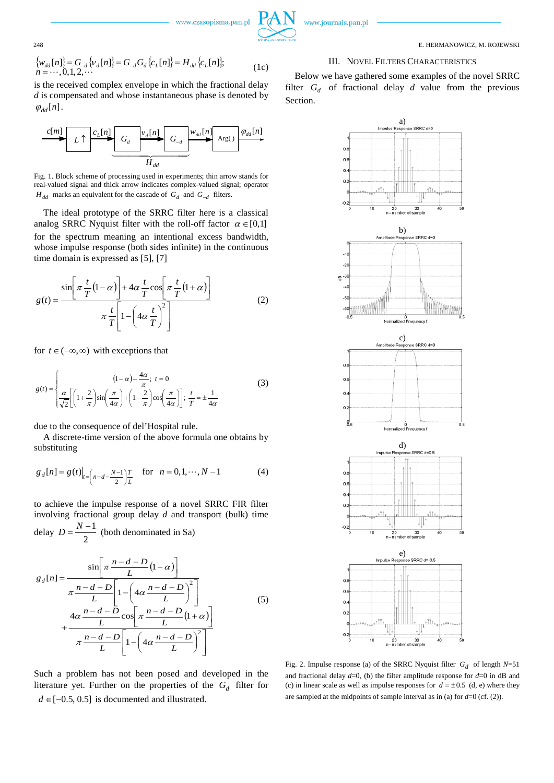

248 E. HERMANOWICZ, M. ROJEWSKI

#### III. NOVEL FILTERS CHARACTERISTICS

Below we have gathered some examples of the novel SRRC filter  $G_d$  of fractional delay  $d$  value from the previous Section.





$$
\begin{aligned} \{\mathbf{w}_{dd}[n]\} &= G_{-d} \{\mathbf{v}_d[n]\} = G_{-d} G_d \{\mathbf{c}_L[n]\} = H_{dd} \{\mathbf{c}_L[n]\};\\ n &= \cdots, 0, 1, 2, \cdots \end{aligned} \tag{1c}
$$

is the received complex envelope in which the fractional delay *d* is compensated and whose instantaneous phase is denoted by  $\varphi_{dd}[n]$ .



Fig. 1. Block scheme of processing used in experiments; thin arrow stands for real-valued signal and thick arrow indicates complex-valued signal; operator *H<sub>dd</sub>* marks an equivalent for the cascade of  $G_d$  and  $G_{-d}$  filters.

The ideal prototype of the SRRC filter here is a classical analog SRRC Nyquist filter with the roll-off factor  $\alpha \in [0,1]$ for the spectrum meaning an intentional excess bandwidth, whose impulse response (both sides infinite) in the continuous time domain is expressed as [5], [7]

$$
g(t) = \frac{\sin\left[\pi \frac{t}{T} (1 - \alpha)\right] + 4\alpha \frac{t}{T} \cos\left[\pi \frac{t}{T} (1 + \alpha)\right]}{\pi \frac{t}{T} \left[1 - \left(4\alpha \frac{t}{T}\right)^2\right]}
$$
(2)

for  $t \in (-\infty, \infty)$  with exceptions that

$$
g(t) = \begin{cases} (1-\alpha) + \frac{4\alpha}{\pi}; & t = 0\\ \frac{\alpha}{\sqrt{2}} \left[ \left( 1 + \frac{2}{\pi} \right) \sin\left( \frac{\pi}{4\alpha} \right) + \left( 1 - \frac{2}{\pi} \right) \cos\left( \frac{\pi}{4\alpha} \right) \right]; & \frac{t}{T} = \pm \frac{1}{4\alpha} \end{cases}
$$
(3)

due to the consequence of del'Hospital rule.

A discrete-time version of the above formula one obtains by substituting

$$
g_d[n] = g(t)|_{t=\left(n-d-\frac{N-1}{2}\right)\frac{T}{L}} \quad \text{for} \quad n = 0, 1, \cdots, N-1 \tag{4}
$$

to achieve the impulse response of a novel SRRC FIR filter involving fractional group delay *d* and transport (bulk) time delay  $D = \frac{N-1}{2}$  (both denominated in Sa)

$$
g_d[n] = \frac{\sin\left[\pi \frac{n-d-D}{L}(1-\alpha)\right]}{\pi \frac{n-d-D}{L}\left[1-\left(4\alpha \frac{n-d-D}{L}\right)^2\right]}
$$
  
4\alpha \frac{n-d-D}{L}\cos\left[\pi \frac{n-d-D}{L}(1+\alpha)\right]}  

$$
+\frac{\pi \frac{n-d-D}{L}\left[1-\left(4\alpha \frac{n-d-D}{L}\right)^2\right]}
$$
(5)

Such a problem has not been posed and developed in the literature yet. Further on the properties of the  $G_d$  filter for  $d \in [-0.5, 0.5]$  is documented and illustrated.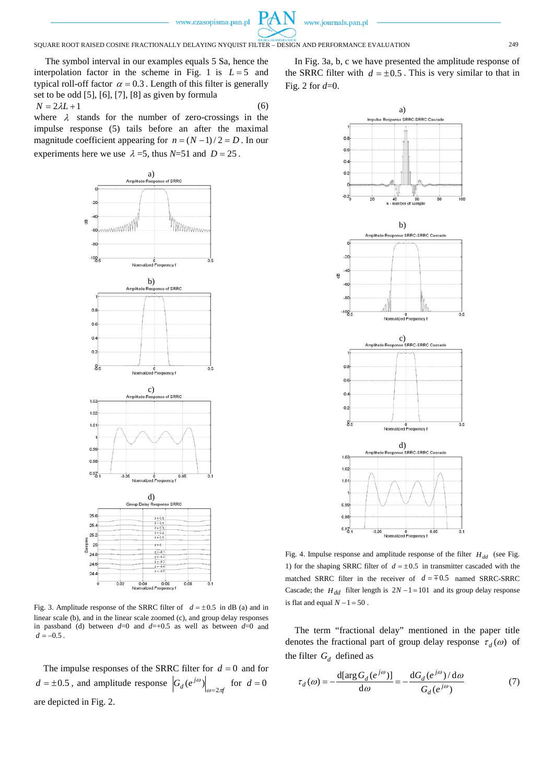

SQUARE ROOT RAISED COSINE FRACTIONALLY DELAYING NYQUIST FILTER – DESIGN AND PERFORMANCE EVALUATION 249

The symbol interval in our examples equals 5 Sa, hence the interpolation factor in the scheme in Fig. 1 is  $L = 5$  and typical roll-off factor  $\alpha = 0.3$ . Length of this filter is generally set to be odd [5], [6], [7], [8] as given by formula  $N = 2\lambda L + 1$  (6)

where  $\lambda$  stands for the number of zero-crossings in the impulse response (5) tails before an after the maximal magnitude coefficient appearing for  $n = (N-1)/2 = D$ . In our experiments here we use  $\lambda = 5$ , thus  $N = 51$  and  $D = 25$ .



Fig. 3. Amplitude response of the SRRC filter of  $d = \pm 0.5$  in dB (a) and in linear scale (b), and in the linear scale zoomed (c), and group delay responses in passband (d) between  $d=0$  and  $d=+0.5$  as well as between  $d=0$  and  $d = -0.5$ .

The impulse responses of the SRRC filter for  $d = 0$  and for  $d = \pm 0.5$ , and amplitude response  $\left| G_d (e^{j\omega}) \right|_{\omega = 2\pi}$  $(e^{j\omega})\Big|_{\omega=2\pi f}$  for  $d=0$ are depicted in Fig. 2.

In Fig. 3a, b, c we have presented the amplitude response of the SRRC filter with  $d = \pm 0.5$ . This is very similar to that in Fig. 2 for *d*=0.



Fig. 4. Impulse response and amplitude response of the filter  $H_{dd}$  (see Fig. 1) for the shaping SRRC filter of  $d = \pm 0.5$  in transmitter cascaded with the matched SRRC filter in the receiver of  $d = 0.5$  named SRRC-SRRC Cascade; the  $H_{dd}$  filter length is  $2N - 1 = 101$  and its group delay response is flat and equal  $N - 1 = 50$ .

The term "fractional delay" mentioned in the paper title denotes the fractional part of group delay response  $\tau_d(\omega)$  of the filter  $G_d$  defined as

$$
\tau_d(\omega) = -\frac{d[\arg G_d(e^{j\omega})]}{d\omega} = -\frac{dG_d(e^{j\omega})/d\omega}{G_d(e^{j\omega})}
$$
(7)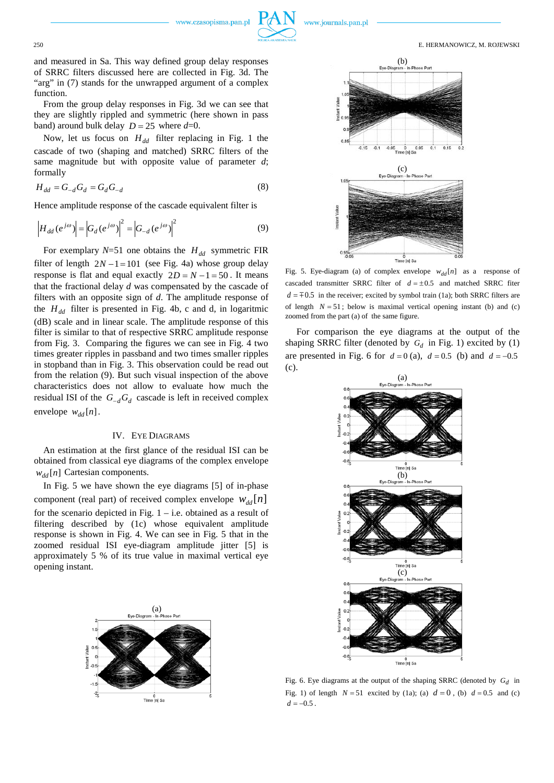and measured in Sa. This way defined group delay responses of SRRC filters discussed here are collected in Fig. 3d. The "arg" in (7) stands for the unwrapped argument of a complex function.

From the group delay responses in Fig. 3d we can see that they are slightly rippled and symmetric (here shown in pass band) around bulk delay  $D = 25$  where  $d=0$ .

Now, let us focus on  $H_{dd}$  filter replacing in Fig. 1 the cascade of two (shaping and matched) SRRC filters of the same magnitude but with opposite value of parameter *d*; formally

$$
H_{dd} = G_{-d} G_d = G_d G_{-d} \tag{8}
$$

Hence amplitude response of the cascade equivalent filter is

$$
\left|H_{dd}(e^{j\omega})\right| = \left|G_d(e^{j\omega})\right|^2 = \left|G_{-d}(e^{j\omega})\right|^2\tag{9}
$$

For exemplary  $N=51$  one obtains the  $H_{dd}$  symmetric FIR filter of length  $2N - 1 = 101$  (see Fig. 4a) whose group delay response is flat and equal exactly  $2D = N - 1 = 50$ . It means that the fractional delay *d* was compensated by the cascade of filters with an opposite sign of *d*. The amplitude response of the  $H_{dd}$  filter is presented in Fig. 4b, c and d, in logaritmic (dB) scale and in linear scale. The amplitude response of this filter is similar to that of respective SRRC amplitude response from Fig. 3. Comparing the figures we can see in Fig. 4 two times greater ripples in passband and two times smaller ripples in stopband than in Fig. 3. This observation could be read out from the relation (9). But such visual inspection of the above characteristics does not allow to evaluate how much the residual ISI of the  $G_{-d}G_d$  cascade is left in received complex envelope  $w_{dd}[n]$ .

### IV. EYE DIAGRAMS

An estimation at the first glance of the residual ISI can be obtained from classical eye diagrams of the complex envelope  $w_{dd}[n]$  Cartesian components.

In Fig. 5 we have shown the eye diagrams [5] of in-phase component (real part) of received complex envelope  $W_{dd}[n]$ for the scenario depicted in Fig.  $1 - i.e.$  obtained as a result of filtering described by (1c) whose equivalent amplitude response is shown in Fig. 4. We can see in Fig. 5 that in the zoomed residual ISI eye-diagram amplitude jitter [5] is approximately 5 % of its true value in maximal vertical eye opening instant.





www.journals.pan.pl

Fig. 5. Eye-diagram (a) of complex envelope  $w_{dd}[n]$  as a response of cascaded transmitter SRRC filter of  $d = \pm 0.5$  and matched SRRC fiter  $d = 0.5$  in the receiver; excited by symbol train (1a); both SRRC filters are of length  $N = 51$ ; below is maximal vertical opening instant (b) and (c) zoomed from the part (a) of the same figure.

For comparison the eye diagrams at the output of the shaping SRRC filter (denoted by  $G_d$  in Fig. 1) excited by (1) are presented in Fig. 6 for  $d = 0$  (a),  $d = 0.5$  (b) and  $d = -0.5$ (c).



Fig. 6. Eye diagrams at the output of the shaping SRRC (denoted by  $G_d$  in Fig. 1) of length  $N = 51$  excited by (1a); (a)  $d = 0$ , (b)  $d = 0.5$  and (c)  $d = -0.5$ .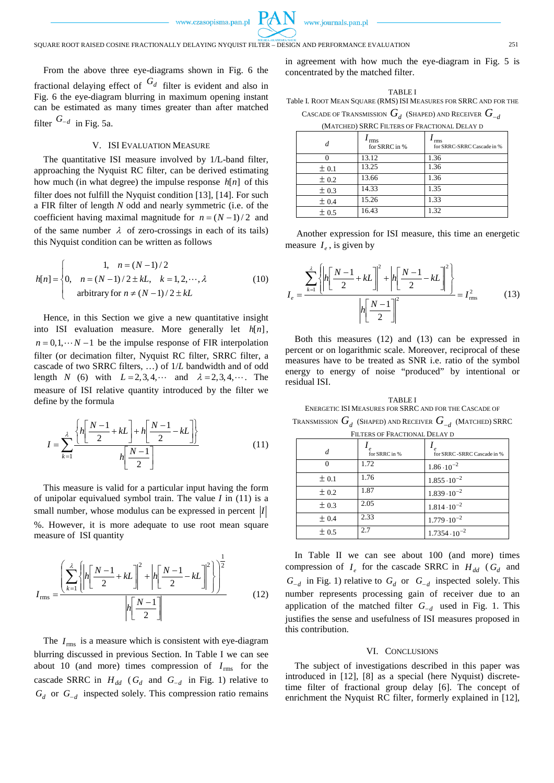

From the above three eye-diagrams shown in Fig. 6 the fractional delaying effect of  $G_d$  filter is evident and also in Fig. 6 the eye-diagram blurring in maximum opening instant can be estimated as many times greater than after matched filter  $G_{-d}$  in Fig. 5a.

## V. ISI EVALUATION MEASURE

The quantitative ISI measure involved by 1/L-band filter, approaching the Nyquist RC filter, can be derived estimating how much (in what degree) the impulse response *h*[*n*] of this filter does not fulfill the Nyquist condition [13], [14]. For such a FIR filter of length *N* odd and nearly symmetric (i.e. of the coefficient having maximal magnitude for  $n = (N-1)/2$  and of the same number  $\lambda$  of zero-crossings in each of its tails) this Nyquist condition can be written as follows

$$
h[n] = \begin{cases} 1, & n = (N-1)/2 \\ 0, & n = (N-1)/2 \pm kL, & k = 1, 2, \dots, \lambda \\ \text{arbitrary for } n \neq (N-1)/2 \pm kL \end{cases} (10)
$$

Hence, in this Section we give a new quantitative insight into ISI evaluation measure. More generally let *h*[*n*],  $n = 0, 1, \dots N - 1$  be the impulse response of FIR interpolation filter (or decimation filter, Nyquist RC filter, SRRC filter, a cascade of two SRRC filters, …) of 1/*L* bandwidth and of odd length *N* (6) with  $L = 2, 3, 4, \cdots$  and  $\lambda = 2, 3, 4, \cdots$ . The measure of ISI relative quantity introduced by the filter we define by the formula

$$
I = \sum_{k=1}^{\lambda} \frac{\left\{ h \left[ \frac{N-1}{2} + kL \right] + h \left[ \frac{N-1}{2} - kL \right] \right\}}{h \left[ \frac{N-1}{2} \right]}
$$
(11)

This measure is valid for a particular input having the form of unipolar equivalued symbol train. The value *I* in (11) is a small number, whose modulus can be expressed in percent *I* %. However, it is more adequate to use root mean square measure of ISI quantity

$$
I_{\text{rms}} = \frac{\left(\sum_{k=1}^{2} \left\{ \left| h \left[ \frac{N-1}{2} + kL \right] \right|^2 + \left| h \left[ \frac{N-1}{2} - kL \right] \right|^2 \right\} \right)^{\frac{1}{2}}}{\left| h \left[ \frac{N-1}{2} \right] \right|} \tag{12}
$$

The  $I_{\text{rms}}$  is a measure which is consistent with eye-diagram blurring discussed in previous Section. In Table I we can see about 10 (and more) times compression of  $I_{\text{rms}}$  for the cascade SRRC in  $H_{dd}$  ( $G_d$  and  $G_{-d}$  in Fig. 1) relative to *G<sub>d</sub>* or *G*<sub>−*d*</sub> inspected solely. This compression ratio remains in agreement with how much the eye-diagram in Fig. 5 is concentrated by the matched filter.

TABLE I Table I. ROOT MEAN SQUARE (RMS) ISI MEASURES FOR SRRC AND FOR THE

CASCADE OF TRANSMISSION  $G_d$  (SHAPED) AND RECEIVER  $G_{-d}$ (MATCHED) SRRC FILTERS OF FRACTIONAL DELAY D

| d         | rms<br>for SRRC in % | rms<br>for SRRC-SRRC Cascade in % |  |
|-----------|----------------------|-----------------------------------|--|
|           | 13.12                | 1.36                              |  |
| ± 0.1     | 13.25                | 1.36                              |  |
| $\pm 0.2$ | 13.66                | 1.36                              |  |
| ± 0.3     | 14.33                | 1.35                              |  |
| ± 0.4     | 15.26                | 1.33                              |  |
| ± 0.5     | 16.43                | 1.32                              |  |

Another expression for ISI measure, this time an energetic measure  $I_e$ , is given by

$$
I_e = \frac{\sum_{k=1}^{2} \left\{ \left| h \left[ \frac{N-1}{2} + kL \right]^{2} + \left| h \left[ \frac{N-1}{2} - kL \right]^{2} \right| \right\}}{\left| h \left[ \frac{N-1}{2} \right] \right|^{2}} = I_{\text{rms}}^{2}
$$
(13)

Both this measures (12) and (13) can be expressed in percent or on logarithmic scale. Moreover, reciprocal of these measures have to be treated as SNR i.e. ratio of the symbol energy to energy of noise "produced" by intentional or residual ISI.

TABLE I ENERGETIC ISI MEASURES FOR SRRC AND FOR THE CASCADE OF TRANSMISSION *Gd* (SHAPED) AND RECEIVER *G*<sup>−</sup>*<sup>d</sup>* (MATCHED) SRRC

| <b>KANSMISSION</b> $\bigcup_{d}$ (SHALED) AND RECEIVER $\bigcup_{d}$ (MATCHED) SKINC |  |
|--------------------------------------------------------------------------------------|--|
| FILTERS OF FRACTIONAL DELAY D                                                        |  |

|       | $\boldsymbol{\rho}$<br>for SRRC in % | for SRRC -SRRC Cascade in % |
|-------|--------------------------------------|-----------------------------|
|       | 1.72                                 | $1.86 \cdot 10^{-2}$        |
| ± 0.1 | 1.76                                 | $1.855 \cdot 10^{-2}$       |
| ± 0.2 | 1.87                                 | $1.839 \cdot 10^{-2}$       |
| ± 0.3 | 2.05                                 | $1.814 \cdot 10^{-2}$       |
| ± 0.4 | 2.33                                 | $1.779 \cdot 10^{-2}$       |
| ± 0.5 | 2.7                                  | $1.7354 \cdot 10^{-2}$      |

In Table II we can see about 100 (and more) times compression of  $I_e$  for the cascade SRRC in  $H_{dd}$  ( $G_d$  and  $G_{-d}$  in Fig. 1) relative to  $G_d$  or  $G_{-d}$  inspected solely. This number represents processing gain of receiver due to an application of the matched filter *G*−*<sup>d</sup>* used in Fig. 1. This justifies the sense and usefulness of ISI measures proposed in this contribution.

#### VI. CONCLUSIONS

The subject of investigations described in this paper was introduced in [12], [8] as a special (here Nyquist) discretetime filter of fractional group delay [6]. The concept of enrichment the Nyquist RC filter, formerly explained in [12],